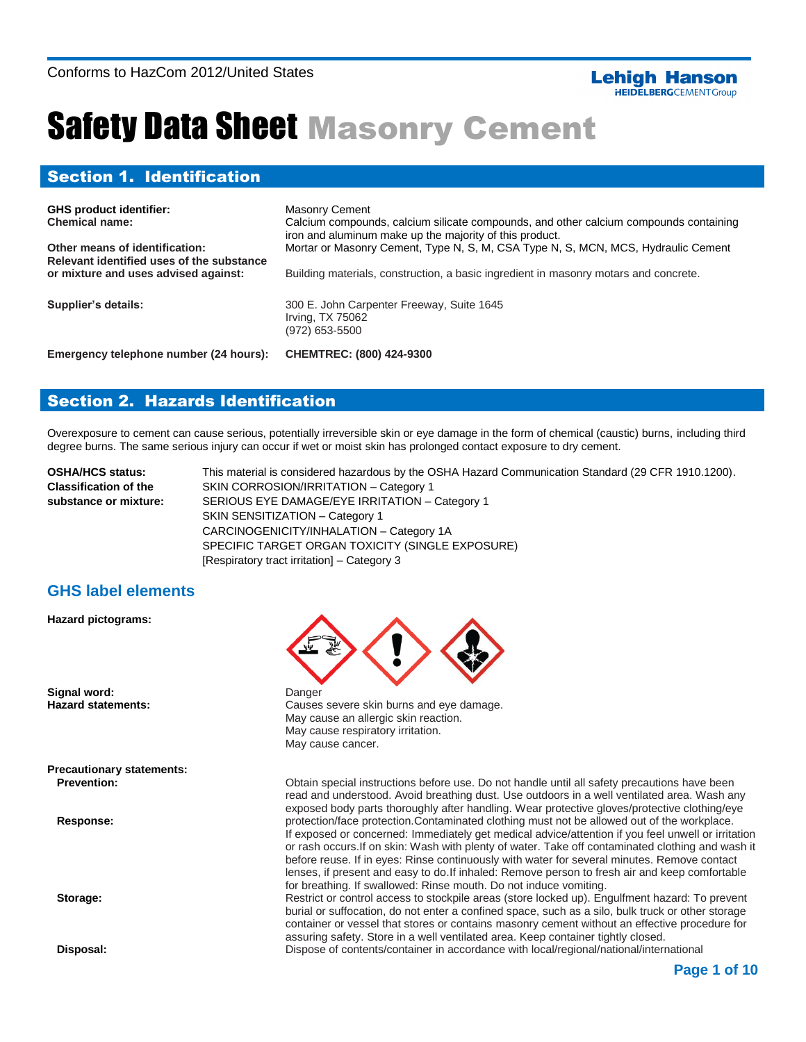#### **Lehigh Hanson HEIDELBERG**CEMENTGroup

# Safety Data Sheet Masonry Cement

## Section 1. Identification

| <b>GHS product identifier:</b><br><b>Chemical name:</b><br>Other means of identification:<br>Relevant identified uses of the substance<br>or mixture and uses advised against: | <b>Masonry Cement</b><br>Calcium compounds, calcium silicate compounds, and other calcium compounds containing<br>iron and aluminum make up the majority of this product.<br>Mortar or Masonry Cement, Type N, S, M, CSA Type N, S, MCN, MCS, Hydraulic Cement<br>Building materials, construction, a basic ingredient in masonry motars and concrete. |
|--------------------------------------------------------------------------------------------------------------------------------------------------------------------------------|--------------------------------------------------------------------------------------------------------------------------------------------------------------------------------------------------------------------------------------------------------------------------------------------------------------------------------------------------------|
| Supplier's details:                                                                                                                                                            | 300 E. John Carpenter Freeway, Suite 1645<br>Irving, TX 75062<br>$(972)$ 653-5500                                                                                                                                                                                                                                                                      |
| Emergency telephone number (24 hours):                                                                                                                                         | <b>CHEMTREC: (800) 424-9300</b>                                                                                                                                                                                                                                                                                                                        |

## Section 2. Hazards Identification

Overexposure to cement can cause serious, potentially irreversible skin or eye damage in the form of chemical (caustic) burns, including third degree burns. The same serious injury can occur if wet or moist skin has prolonged contact exposure to dry cement.

| <b>OSHA/HCS status:</b>      | This material is considered hazardous by the OSHA Hazard Communication Standard (29 CFR 1910.1200). |
|------------------------------|-----------------------------------------------------------------------------------------------------|
| <b>Classification of the</b> | SKIN CORROSION/IRRITATION - Category 1                                                              |
| substance or mixture:        | SERIOUS EYE DAMAGE/EYE IRRITATION - Category 1                                                      |
|                              | SKIN SENSITIZATION - Category 1                                                                     |
|                              | CARCINOGENICITY/INHALATION - Category 1A                                                            |
|                              | SPECIFIC TARGET ORGAN TOXICITY (SINGLE EXPOSURE)                                                    |
|                              | [Respiratory tract irritation] – Category 3                                                         |

## **GHS label elements**

**Hazard pictograms:**

**Signal word:** Danger

**Precautionary statements: Prevention:**

 **Response:**

 **Storage:**

 **Disposal:**



**Hazard statements:** Causes severe skin burns and eye damage. May cause an allergic skin reaction. May cause respiratory irritation. May cause cancer.

> Obtain special instructions before use. Do not handle until all safety precautions have been read and understood. Avoid breathing dust. Use outdoors in a well ventilated area. Wash any exposed body parts thoroughly after handling. Wear protective gloves/protective clothing/eye protection/face protection.Contaminated clothing must not be allowed out of the workplace. If exposed or concerned: Immediately get medical advice/attention if you feel unwell or irritation or rash occurs.If on skin: Wash with plenty of water. Take off contaminated clothing and wash it before reuse. If in eyes: Rinse continuously with water for several minutes. Remove contact lenses, if present and easy to do.If inhaled: Remove person to fresh air and keep comfortable for breathing. If swallowed: Rinse mouth. Do not induce vomiting.

Restrict or control access to stockpile areas (store locked up). Engulfment hazard: To prevent burial or suffocation, do not enter a confined space, such as a silo, bulk truck or other storage container or vessel that stores or contains masonry cement without an effective procedure for assuring safety. Store in a well ventilated area. Keep container tightly closed. Dispose of contents/container in accordance with local/regional/national/international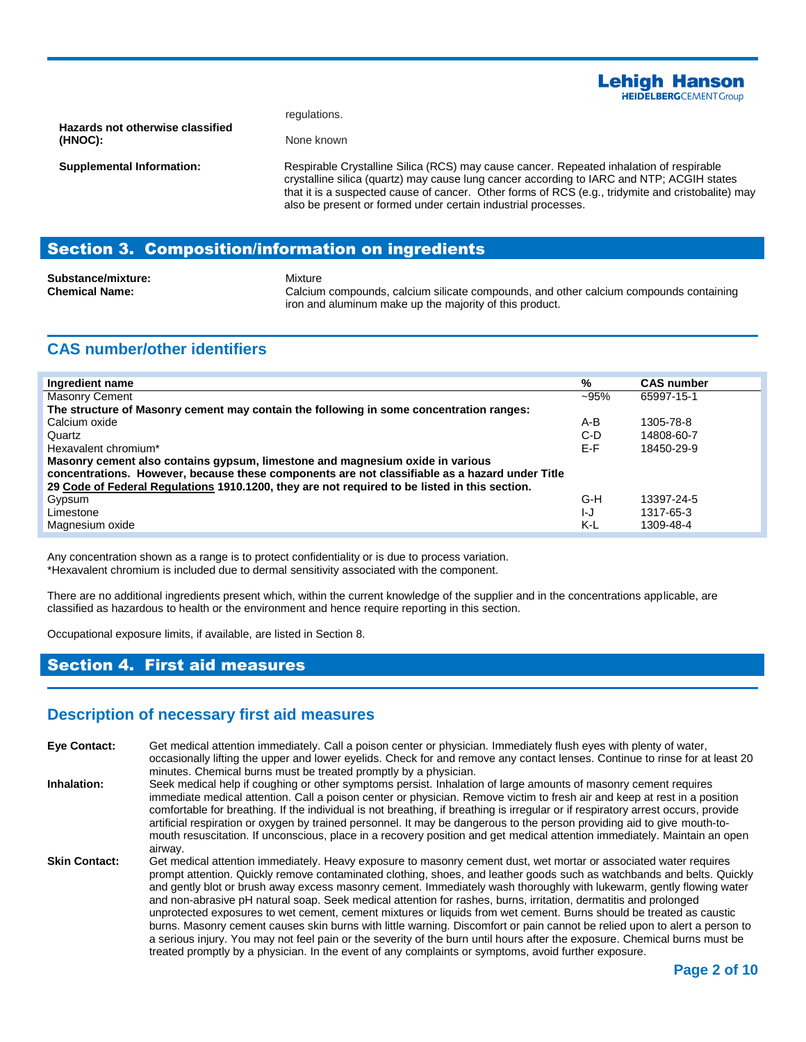

regulations. None known

**Hazards not otherwise classified (HNOC):**

**Supplemental Information:**

Respirable Crystalline Silica (RCS) may cause cancer. Repeated inhalation of respirable crystalline silica (quartz) may cause lung cancer according to IARC and NTP; ACGIH states that it is a suspected cause of cancer. Other forms of RCS (e.g., tridymite and cristobalite) may also be present or formed under certain industrial processes.

## Section 3. Composition/information on ingredients

**Substance/mixture:** Mixture

**Chemical Name:** Calcium compounds, calcium silicate compounds, and other calcium compounds containing iron and aluminum make up the majority of this product.

## **CAS number/other identifiers**

| Ingredient name                                                                                                                                                                 | %      | <b>CAS number</b> |  |
|---------------------------------------------------------------------------------------------------------------------------------------------------------------------------------|--------|-------------------|--|
| <b>Masonry Cement</b>                                                                                                                                                           | $-95%$ | 65997-15-1        |  |
| The structure of Masonry cement may contain the following in some concentration ranges:                                                                                         |        |                   |  |
| Calcium oxide                                                                                                                                                                   | A-B    | 1305-78-8         |  |
| Quartz                                                                                                                                                                          | $C-D$  | 14808-60-7        |  |
| Hexavalent chromium*                                                                                                                                                            | E-F    | 18450-29-9        |  |
| Masonry cement also contains gypsum, limestone and magnesium oxide in various<br>concentrations. However, because these components are not classifiable as a hazard under Title |        |                   |  |
| 29 Code of Federal Regulations 1910.1200, they are not required to be listed in this section.                                                                                   |        |                   |  |
| Gypsum                                                                                                                                                                          | G-H    | 13397-24-5        |  |
| Limestone                                                                                                                                                                       | IJ     | 1317-65-3         |  |
| Magnesium oxide                                                                                                                                                                 | K-L    | 1309-48-4         |  |

Any concentration shown as a range is to protect confidentiality or is due to process variation. \*Hexavalent chromium is included due to dermal sensitivity associated with the component.

There are no additional ingredients present which, within the current knowledge of the supplier and in the concentrations applicable, are classified as hazardous to health or the environment and hence require reporting in this section.

Occupational exposure limits, if available, are listed in Section 8.

## Section 4. First aid measures

#### **Description of necessary first aid measures**

**Eye Contact:** Get medical attention immediately. Call a poison center or physician. Immediately flush eyes with plenty of water, occasionally lifting the upper and lower eyelids. Check for and remove any contact lenses. Continue to rinse for at least 20 minutes. Chemical burns must be treated promptly by a physician. **Inhalation:** Seek medical help if coughing or other symptoms persist. Inhalation of large amounts of masonry cement requires immediate medical attention. Call a poison center or physician. Remove victim to fresh air and keep at rest in a position comfortable for breathing. If the individual is not breathing, if breathing is irregular or if respiratory arrest occurs, provide artificial respiration or oxygen by trained personnel. It may be dangerous to the person providing aid to give mouth-tomouth resuscitation. If unconscious, place in a recovery position and get medical attention immediately. Maintain an open airway. Skin Contact: Get medical attention immediately. Heavy exposure to masonry cement dust, wet mortar or associated water requires prompt attention. Quickly remove contaminated clothing, shoes, and leather goods such as watchbands and belts. Quickly and gently blot or brush away excess masonry cement. Immediately wash thoroughly with lukewarm, gently flowing water and non-abrasive pH natural soap. Seek medical attention for rashes, burns, irritation, dermatitis and prolonged unprotected exposures to wet cement, cement mixtures or liquids from wet cement. Burns should be treated as caustic burns. Masonry cement causes skin burns with little warning. Discomfort or pain cannot be relied upon to alert a person to a serious injury. You may not feel pain or the severity of the burn until hours after the exposure. Chemical burns must be treated promptly by a physician. In the event of any complaints or symptoms, avoid further exposure.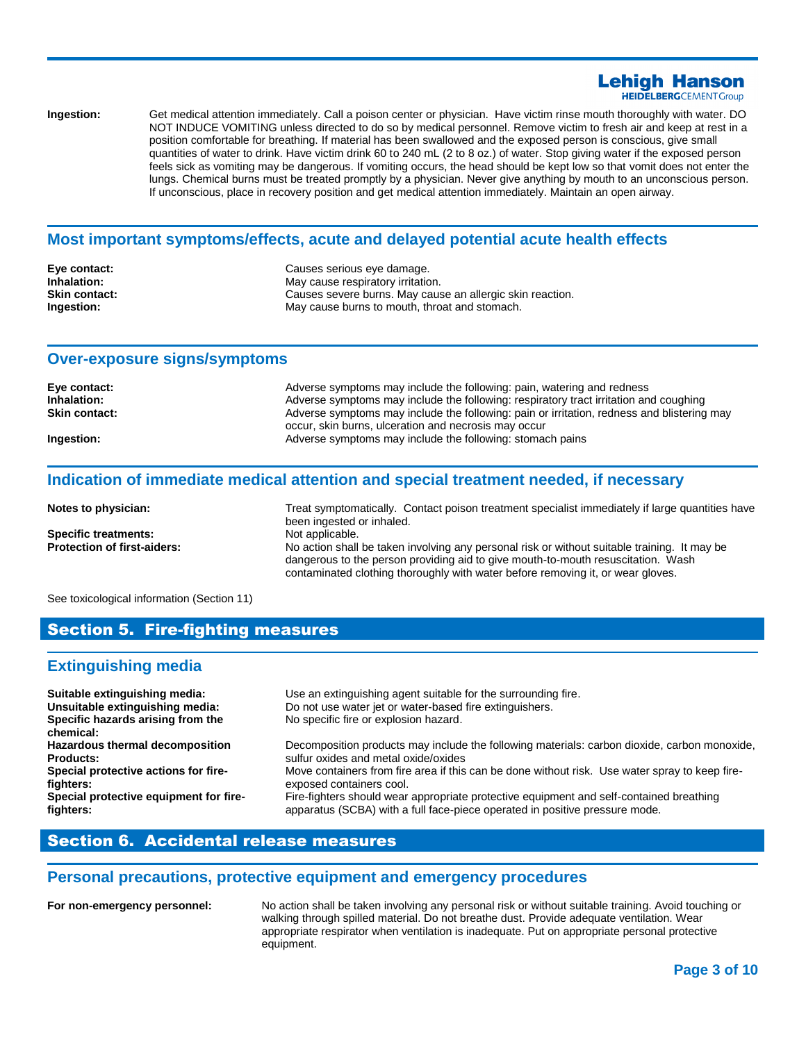#### **Lehiah Hanson HEIDELBERG**CEMENTGroup

**Ingestion:** Get medical attention immediately. Call a poison center or physician. Have victim rinse mouth thoroughly with water. DO NOT INDUCE VOMITING unless directed to do so by medical personnel. Remove victim to fresh air and keep at rest in a position comfortable for breathing. If material has been swallowed and the exposed person is conscious, give small quantities of water to drink. Have victim drink 60 to 240 mL (2 to 8 oz.) of water. Stop giving water if the exposed person feels sick as vomiting may be dangerous. If vomiting occurs, the head should be kept low so that vomit does not enter the lungs. Chemical burns must be treated promptly by a physician. Never give anything by mouth to an unconscious person. If unconscious, place in recovery position and get medical attention immediately. Maintain an open airway.

#### **Most important symptoms/effects, acute and delayed potential acute health effects**

| Eve contact:         | Causes serious eye damage.                                |
|----------------------|-----------------------------------------------------------|
| Inhalation:          | May cause respiratory irritation.                         |
| <b>Skin contact:</b> | Causes severe burns. May cause an allergic skin reaction. |
| Ingestion:           | May cause burns to mouth, throat and stomach.             |

#### **Over-exposure signs/symptoms**

| Eye contact:         | Adverse symptoms may include the following: pain, watering and redness                     |
|----------------------|--------------------------------------------------------------------------------------------|
| Inhalation:          | Adverse symptoms may include the following: respiratory tract irritation and coughing      |
| <b>Skin contact:</b> | Adverse symptoms may include the following: pain or irritation, redness and blistering may |
|                      | occur, skin burns, ulceration and necrosis may occur                                       |
| Ingestion:           | Adverse symptoms may include the following: stomach pains                                  |

#### **Indication of immediate medical attention and special treatment needed, if necessary**

| Notes to physician:                | Treat symptomatically. Contact poison treatment specialist immediately if large quantities have<br>been ingested or inhaled.                                                                                                                                        |
|------------------------------------|---------------------------------------------------------------------------------------------------------------------------------------------------------------------------------------------------------------------------------------------------------------------|
| <b>Specific treatments:</b>        | Not applicable.                                                                                                                                                                                                                                                     |
| <b>Protection of first-aiders:</b> | No action shall be taken involving any personal risk or without suitable training. It may be<br>dangerous to the person providing aid to give mouth-to-mouth resuscitation. Wash<br>contaminated clothing thoroughly with water before removing it, or wear gloves. |

See toxicological information (Section 11)

#### Section 5. Fire-fighting measures

#### **Extinguishing media**

| Suitable extinguishing media:<br>Unsuitable extinguishing media:<br>Specific hazards arising from the<br>chemical: | Use an extinguishing agent suitable for the surrounding fire.<br>Do not use water jet or water-based fire extinguishers.<br>No specific fire or explosion hazard. |
|--------------------------------------------------------------------------------------------------------------------|-------------------------------------------------------------------------------------------------------------------------------------------------------------------|
| Hazardous thermal decomposition                                                                                    | Decomposition products may include the following materials: carbon dioxide, carbon monoxide,                                                                      |
| <b>Products:</b>                                                                                                   | sulfur oxides and metal oxide/oxides                                                                                                                              |
| Special protective actions for fire-                                                                               | Move containers from fire area if this can be done without risk. Use water spray to keep fire-                                                                    |
| fighters:                                                                                                          | exposed containers cool.                                                                                                                                          |
| Special protective equipment for fire-                                                                             | Fire-fighters should wear appropriate protective equipment and self-contained breathing                                                                           |
| fighters:                                                                                                          | apparatus (SCBA) with a full face-piece operated in positive pressure mode.                                                                                       |

## Section 6. Accidental release measures

#### **Personal precautions, protective equipment and emergency procedures**

**For non-emergency personnel:** No action shall be taken involving any personal risk or without suitable training. Avoid touching or walking through spilled material. Do not breathe dust. Provide adequate ventilation. Wear appropriate respirator when ventilation is inadequate. Put on appropriate personal protective equipment.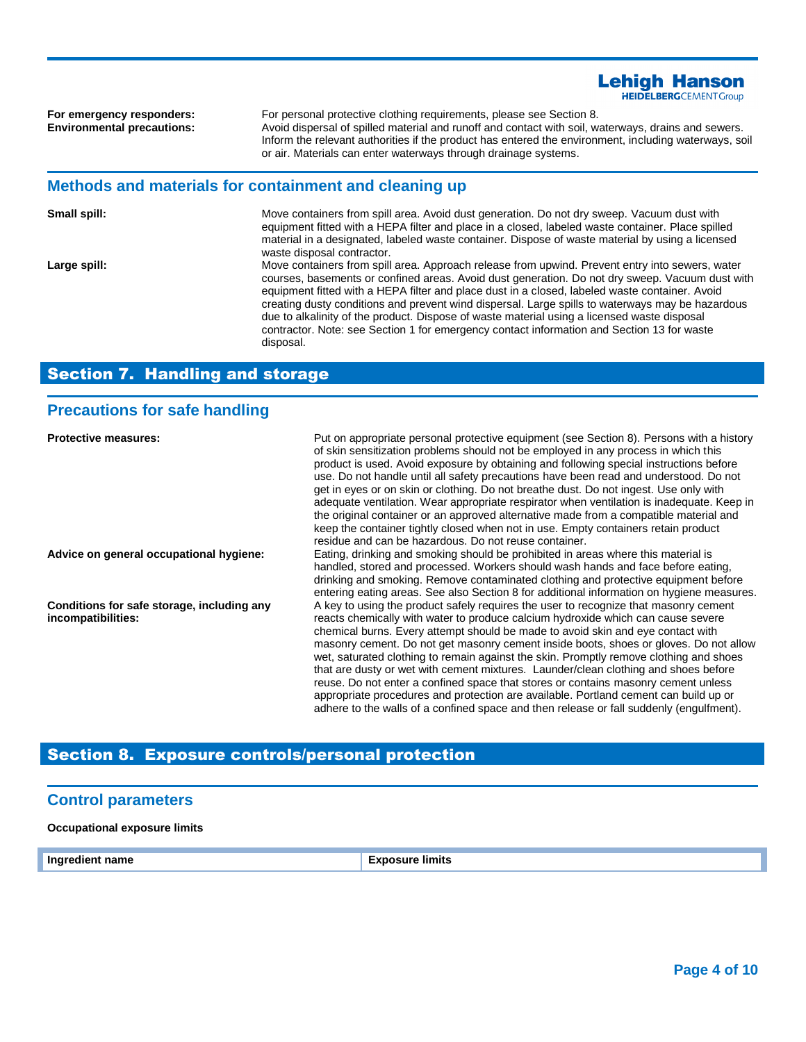**For emergency responders:** For personal protective clothing requirements, please see Section 8.<br> **Environmental precautions:** Avoid dispersal of spilled material and runoff and contact with soil, w **Environmental precautions:** Avoid dispersal of spilled material and runoff and contact with soil, waterways, drains and sewers. Inform the relevant authorities if the product has entered the environment, including waterways, soil or air. Materials can enter waterways through drainage systems.

**Lehigh Hanson HEIDELBERG**CEMENTGroup

#### **Methods and materials for containment and cleaning up**

| Small spill: | Move containers from spill area. Avoid dust generation. Do not dry sweep. Vacuum dust with<br>equipment fitted with a HEPA filter and place in a closed, labeled waste container. Place spilled<br>material in a designated, labeled waste container. Dispose of waste material by using a licensed<br>waste disposal contractor.                                                                                                                                                                                                                                                                                  |
|--------------|--------------------------------------------------------------------------------------------------------------------------------------------------------------------------------------------------------------------------------------------------------------------------------------------------------------------------------------------------------------------------------------------------------------------------------------------------------------------------------------------------------------------------------------------------------------------------------------------------------------------|
| Large spill: | Move containers from spill area. Approach release from upwind. Prevent entry into sewers, water<br>courses, basements or confined areas. Avoid dust generation. Do not dry sweep. Vacuum dust with<br>equipment fitted with a HEPA filter and place dust in a closed, labeled waste container. Avoid<br>creating dusty conditions and prevent wind dispersal. Large spills to waterways may be hazardous<br>due to alkalinity of the product. Dispose of waste material using a licensed waste disposal<br>contractor. Note: see Section 1 for emergency contact information and Section 13 for waste<br>disposal. |

## Section 7. Handling and storage

## **Precautions for safe handling**

| <b>Protective measures:</b>                                      | Put on appropriate personal protective equipment (see Section 8). Persons with a history<br>of skin sensitization problems should not be employed in any process in which this<br>product is used. Avoid exposure by obtaining and following special instructions before<br>use. Do not handle until all safety precautions have been read and understood. Do not<br>get in eyes or on skin or clothing. Do not breathe dust. Do not ingest. Use only with<br>adequate ventilation. Wear appropriate respirator when ventilation is inadequate. Keep in<br>the original container or an approved alternative made from a compatible material and<br>keep the container tightly closed when not in use. Empty containers retain product<br>residue and can be hazardous. Do not reuse container.                |
|------------------------------------------------------------------|----------------------------------------------------------------------------------------------------------------------------------------------------------------------------------------------------------------------------------------------------------------------------------------------------------------------------------------------------------------------------------------------------------------------------------------------------------------------------------------------------------------------------------------------------------------------------------------------------------------------------------------------------------------------------------------------------------------------------------------------------------------------------------------------------------------|
| Advice on general occupational hygiene:                          | Eating, drinking and smoking should be prohibited in areas where this material is<br>handled, stored and processed. Workers should wash hands and face before eating,<br>drinking and smoking. Remove contaminated clothing and protective equipment before<br>entering eating areas. See also Section 8 for additional information on hygiene measures.                                                                                                                                                                                                                                                                                                                                                                                                                                                       |
| Conditions for safe storage, including any<br>incompatibilities: | A key to using the product safely requires the user to recognize that masonry cement<br>reacts chemically with water to produce calcium hydroxide which can cause severe<br>chemical burns. Every attempt should be made to avoid skin and eye contact with<br>masonry cement. Do not get masonry cement inside boots, shoes or gloves. Do not allow<br>wet, saturated clothing to remain against the skin. Promptly remove clothing and shoes<br>that are dusty or wet with cement mixtures. Launder/clean clothing and shoes before<br>reuse. Do not enter a confined space that stores or contains masonry cement unless<br>appropriate procedures and protection are available. Portland cement can build up or<br>adhere to the walls of a confined space and then release or fall suddenly (engulfment). |

## Section 8. Exposure controls/personal protection

#### **Control parameters**

#### **Occupational exposure limits**

**Ingredient name Exposure limits**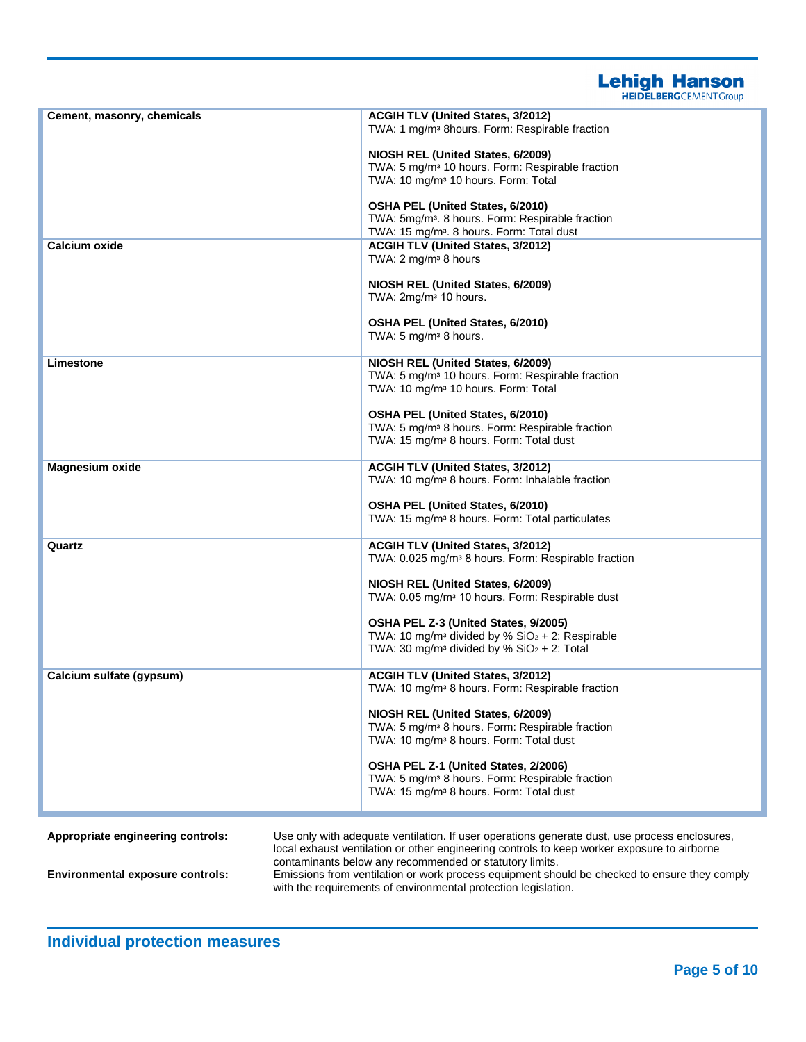**Lehigh Hanson** 

| <b>HEIDELBERG</b> CEMENT Group |  |
|--------------------------------|--|

| Cement, masonry, chemicals              | <b>ACGIH TLV (United States, 3/2012)</b><br>TWA: 1 mg/m <sup>3</sup> 8hours. Form: Respirable fraction                                                                                                                    |
|-----------------------------------------|---------------------------------------------------------------------------------------------------------------------------------------------------------------------------------------------------------------------------|
|                                         | NIOSH REL (United States, 6/2009)                                                                                                                                                                                         |
|                                         | TWA: 5 mg/m <sup>3</sup> 10 hours. Form: Respirable fraction<br>TWA: 10 mg/m <sup>3</sup> 10 hours. Form: Total                                                                                                           |
|                                         | OSHA PEL (United States, 6/2010)<br>TWA: 5mg/m <sup>3</sup> . 8 hours. Form: Respirable fraction                                                                                                                          |
|                                         | TWA: 15 mg/m <sup>3</sup> . 8 hours. Form: Total dust                                                                                                                                                                     |
| Calcium oxide                           | <b>ACGIH TLV (United States, 3/2012)</b><br>TWA: 2 mg/m <sup>3</sup> 8 hours                                                                                                                                              |
|                                         | NIOSH REL (United States, 6/2009)<br>TWA: 2mg/m <sup>3</sup> 10 hours.                                                                                                                                                    |
|                                         | <b>OSHA PEL (United States, 6/2010)</b><br>TWA: 5 mg/m <sup>3</sup> 8 hours.                                                                                                                                              |
| Limestone                               | NIOSH REL (United States, 6/2009)<br>TWA: 5 mg/m <sup>3</sup> 10 hours. Form: Respirable fraction                                                                                                                         |
|                                         | TWA: 10 mg/m <sup>3</sup> 10 hours. Form: Total                                                                                                                                                                           |
|                                         | <b>OSHA PEL (United States, 6/2010)</b>                                                                                                                                                                                   |
|                                         | TWA: 5 mg/m <sup>3</sup> 8 hours. Form: Respirable fraction<br>TWA: 15 mg/m <sup>3</sup> 8 hours. Form: Total dust                                                                                                        |
| <b>Magnesium oxide</b>                  | ACGIH TLV (United States, 3/2012)<br>TWA: 10 mg/m <sup>3</sup> 8 hours. Form: Inhalable fraction                                                                                                                          |
|                                         | <b>OSHA PEL (United States, 6/2010)</b>                                                                                                                                                                                   |
|                                         | TWA: 15 mg/m <sup>3</sup> 8 hours. Form: Total particulates                                                                                                                                                               |
| Quartz                                  | ACGIH TLV (United States, 3/2012)<br>TWA: 0.025 mg/m <sup>3</sup> 8 hours. Form: Respirable fraction                                                                                                                      |
|                                         | NIOSH REL (United States, 6/2009)<br>TWA: 0.05 mg/m <sup>3</sup> 10 hours. Form: Respirable dust                                                                                                                          |
|                                         | OSHA PEL Z-3 (United States, 9/2005)<br>TWA: 10 mg/m <sup>3</sup> divided by % $SiO2 + 2$ : Respirable                                                                                                                    |
|                                         | TWA: 30 mg/m <sup>3</sup> divided by % $SiO2 + 2$ : Total                                                                                                                                                                 |
| Calcium sulfate (gypsum)                | <b>ACGIH TLV (United States, 3/2012)</b><br>TWA: 10 mg/m <sup>3</sup> 8 hours. Form: Respirable fraction                                                                                                                  |
|                                         | NIOSH REL (United States, 6/2009)                                                                                                                                                                                         |
|                                         | TWA: 5 mg/m <sup>3</sup> 8 hours. Form: Respirable fraction<br>TWA: 10 mg/m <sup>3</sup> 8 hours. Form: Total dust                                                                                                        |
|                                         | OSHA PEL Z-1 (United States, 2/2006)                                                                                                                                                                                      |
|                                         | TWA: 5 mg/m <sup>3</sup> 8 hours. Form: Respirable fraction                                                                                                                                                               |
|                                         | TWA: 15 mg/m <sup>3</sup> 8 hours. Form: Total dust                                                                                                                                                                       |
| Appropriate engineering controls:       | Use only with adequate ventilation. If user operations generate dust, use process enclosures,                                                                                                                             |
|                                         | local exhaust ventilation or other engineering controls to keep worker exposure to airborne                                                                                                                               |
| <b>Environmental exposure controls:</b> | contaminants below any recommended or statutory limits.<br>Emissions from ventilation or work process equipment should be checked to ensure they comply<br>with the requirements of environmental protection legislation. |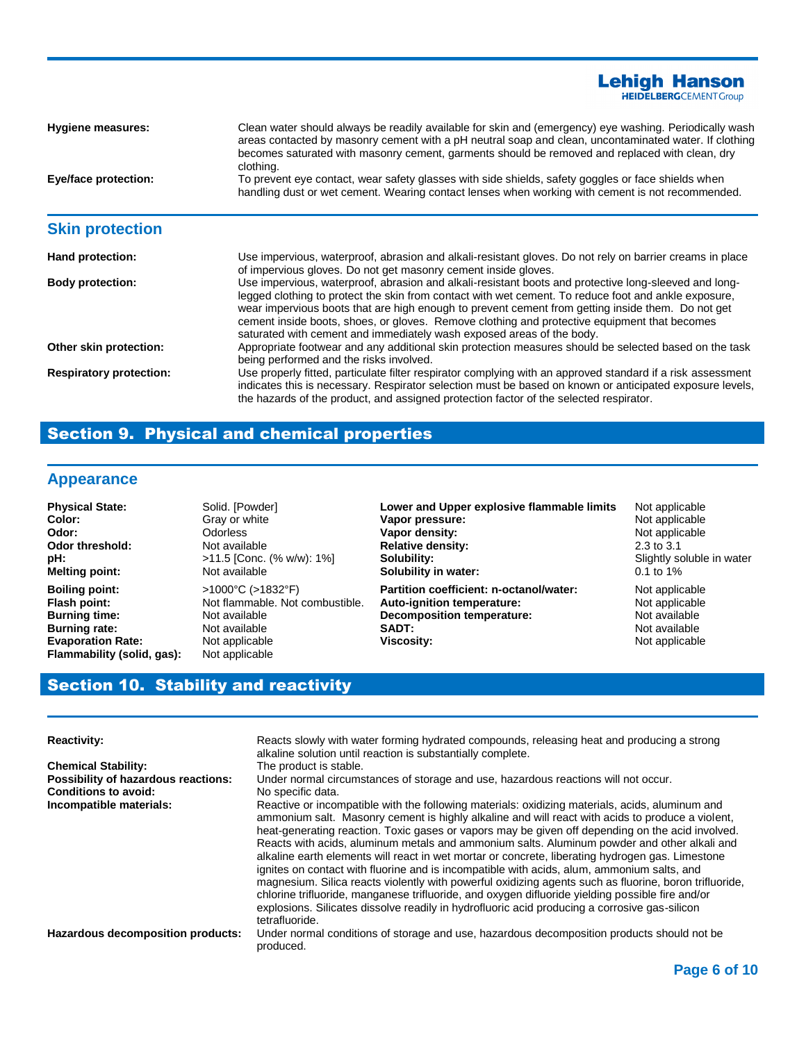**Hygiene measures:** Clean water should always be readily available for skin and (emergency) eye washing. Periodically wash areas contacted by masonry cement with a pH neutral soap and clean, uncontaminated water. If clothing becomes saturated with masonry cement, garments should be removed and replaced with clean, dry clothing. **Eye/face protection:** To prevent eye contact, wear safety glasses with side shields, safety goggles or face shields when handling dust or wet cement. Wearing contact lenses when working with cement is not recommended. **Skin protection Hand protection:** Use impervious, waterproof, abrasion and alkali-resistant gloves. Do not rely on barrier creams in place of impervious gloves. Do not get masonry cement inside gloves. **Body protection:** Use impervious, waterproof, abrasion and alkali-resistant boots and protective long-sleeved and longlegged clothing to protect the skin from contact with wet cement. To reduce foot and ankle exposure, wear impervious boots that are high enough to prevent cement from getting inside them. Do not get cement inside boots, shoes, or gloves. Remove clothing and protective equipment that becomes saturated with cement and immediately wash exposed areas of the body. **Other skin protection:** Appropriate footwear and any additional skin protection measures should be selected based on the task being performed and the risks involved. **Respiratory protection:** Use properly fitted, particulate filter respirator complying with an approved standard if a risk assessment indicates this is necessary. Respirator selection must be based on known or anticipated exposure levels, the hazards of the product, and assigned protection factor of the selected respirator.

## Section 9. Physical and chemical properties

## **Appearance**

| <b>Physical State:</b>     | Solid. [Powder]                        | Lower and Upper explosive flammable limits | Not applicable            |
|----------------------------|----------------------------------------|--------------------------------------------|---------------------------|
| Color:                     | Gray or white                          | Vapor pressure:                            | Not applicable            |
| Odor:                      | Odorless                               | Vapor density:                             | Not applicable            |
| <b>Odor threshold:</b>     | Not available                          | <b>Relative density:</b>                   | $2.3$ to $3.1$            |
| pH:                        | $>11.5$ [Conc. (% w/w): 1%]            | Solubility:                                | Slightly soluble in water |
| <b>Melting point:</b>      | Not available                          | Solubility in water:                       | $0.1$ to 1%               |
| <b>Boiling point:</b>      | $>1000^{\circ}$ C ( $>1832^{\circ}$ F) | Partition coefficient: n-octanol/water:    | Not applicable            |
| Flash point:               | Not flammable. Not combustible.        | Auto-ignition temperature:                 | Not applicable            |
| <b>Burning time:</b>       | Not available                          | <b>Decomposition temperature:</b>          | Not available             |
| <b>Burning rate:</b>       | Not available                          | <b>SADT:</b>                               | Not available             |
| <b>Evaporation Rate:</b>   | Not applicable                         | Viscosity:                                 | Not applicable            |
| Flammability (solid, gas): | Not applicable                         |                                            |                           |

## Section 10. Stability and reactivity

| <b>Reactivity:</b>                                                 | Reacts slowly with water forming hydrated compounds, releasing heat and producing a strong<br>alkaline solution until reaction is substantially complete.                                                                                                                                                                                                                                                                                                                                                                                                                                                                                                                                                                                                                                                                                                                                                                                 |
|--------------------------------------------------------------------|-------------------------------------------------------------------------------------------------------------------------------------------------------------------------------------------------------------------------------------------------------------------------------------------------------------------------------------------------------------------------------------------------------------------------------------------------------------------------------------------------------------------------------------------------------------------------------------------------------------------------------------------------------------------------------------------------------------------------------------------------------------------------------------------------------------------------------------------------------------------------------------------------------------------------------------------|
| <b>Chemical Stability:</b>                                         | The product is stable.                                                                                                                                                                                                                                                                                                                                                                                                                                                                                                                                                                                                                                                                                                                                                                                                                                                                                                                    |
| Possibility of hazardous reactions:<br><b>Conditions to avoid:</b> | Under normal circumstances of storage and use, hazardous reactions will not occur.<br>No specific data.                                                                                                                                                                                                                                                                                                                                                                                                                                                                                                                                                                                                                                                                                                                                                                                                                                   |
| Incompatible materials:                                            | Reactive or incompatible with the following materials: oxidizing materials, acids, aluminum and<br>ammonium salt. Masonry cement is highly alkaline and will react with acids to produce a violent,<br>heat-generating reaction. Toxic gases or vapors may be given off depending on the acid involved.<br>Reacts with acids, aluminum metals and ammonium salts. Aluminum powder and other alkali and<br>alkaline earth elements will react in wet mortar or concrete, liberating hydrogen gas. Limestone<br>ignites on contact with fluorine and is incompatible with acids, alum, ammonium salts, and<br>magnesium. Silica reacts violently with powerful oxidizing agents such as fluorine, boron trifluoride,<br>chlorine trifluoride, manganese trifluoride, and oxygen difluoride yielding possible fire and/or<br>explosions. Silicates dissolve readily in hydrofluoric acid producing a corrosive gas-silicon<br>tetrafluoride. |
| Hazardous decomposition products:                                  | Under normal conditions of storage and use, hazardous decomposition products should not be<br>produced.                                                                                                                                                                                                                                                                                                                                                                                                                                                                                                                                                                                                                                                                                                                                                                                                                                   |

**Lehigh Hanson HEIDELBERG**CEMENT Group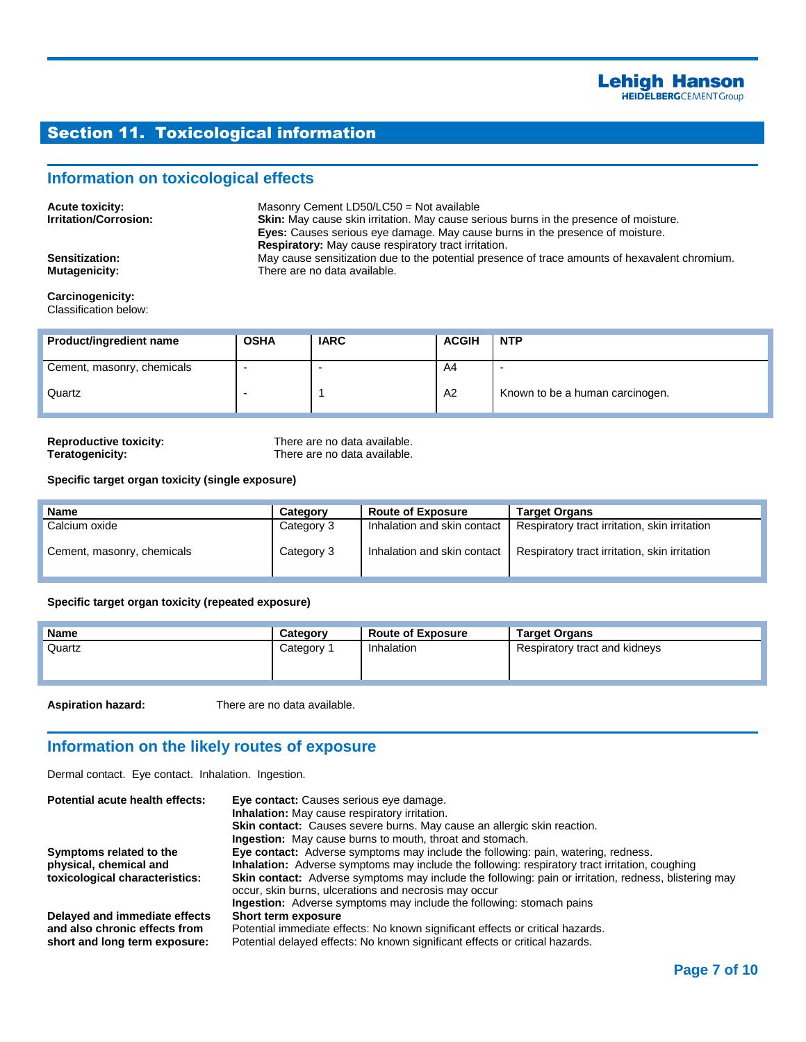## Section 11. Toxicological information

### **Information on toxicological effects**

| <b>Acute toxicity:</b><br><b>Irritation/Corrosion:</b> | Masonry Cement LD50/LC50 = Not available<br><b>Skin:</b> May cause skin irritation. May cause serious burns in the presence of moisture.<br><b>Eyes:</b> Causes serious eye damage. May cause burns in the presence of moisture. |
|--------------------------------------------------------|----------------------------------------------------------------------------------------------------------------------------------------------------------------------------------------------------------------------------------|
| <b>Sensitization:</b><br>Mutagenicity:                 | <b>Respiratory:</b> May cause respiratory tract irritation.<br>May cause sensitization due to the potential presence of trace amounts of hexavalent chromium.<br>There are no data available.                                    |

#### **Carcinogenicity:** Classification below:

| <b>Product/ingredient name</b> | <b>OSHA</b> | <b>IARC</b> | <b>ACGIH</b> | <b>NTP</b>                      |
|--------------------------------|-------------|-------------|--------------|---------------------------------|
| Cement, masonry, chemicals     |             |             | A4           |                                 |
| Quartz                         |             |             | A2           | Known to be a human carcinogen. |

**Reproductive toxicity:** There are no data available.<br> **There are no data available.**<br>
There are no data available. There are no data available.

#### **Specific target organ toxicity (single exposure)**

| Name                       | Category   | <b>Route of Exposure</b>    | <b>Target Organs</b>                                                        |
|----------------------------|------------|-----------------------------|-----------------------------------------------------------------------------|
| Calcium oxide              | Category 3 | Inhalation and skin contact | Respiratory tract irritation, skin irritation                               |
| Cement, masonry, chemicals | Category 3 |                             | Inhalation and skin contact   Respiratory tract irritation, skin irritation |

#### **Specific target organ toxicity (repeated exposure)**

| <b>Name</b> | Category              | <b>Route of Exposure</b> | <b>Target Organs</b>          |
|-------------|-----------------------|--------------------------|-------------------------------|
| Quartz      | Category <sup>2</sup> | Inhalation               | Respiratory tract and kidneys |

**Aspiration hazard:** There are no data available.

## **Information on the likely routes of exposure**

Dermal contact. Eye contact. Inhalation. Ingestion.

| Potential acute health effects: | Eye contact: Causes serious eye damage.                                                                      |
|---------------------------------|--------------------------------------------------------------------------------------------------------------|
|                                 | <b>Inhalation:</b> May cause respiratory irritation.                                                         |
|                                 | Skin contact: Causes severe burns. May cause an allergic skin reaction.                                      |
|                                 | <b>Ingestion:</b> May cause burns to mouth, throat and stomach.                                              |
| Symptoms related to the         | <b>Eye contact:</b> Adverse symptoms may include the following: pain, watering, redness.                     |
| physical, chemical and          | <b>Inhalation:</b> Adverse symptoms may include the following: respiratory tract irritation, coughing        |
| toxicological characteristics:  | <b>Skin contact:</b> Adverse symptoms may include the following: pain or irritation, redness, blistering may |
|                                 | occur, skin burns, ulcerations and necrosis may occur                                                        |
|                                 | <b>Ingestion:</b> Adverse symptoms may include the following: stomach pains                                  |
| Delayed and immediate effects   | Short term exposure                                                                                          |
| and also chronic effects from   | Potential immediate effects: No known significant effects or critical hazards.                               |
| short and long term exposure:   | Potential delayed effects: No known significant effects or critical hazards.                                 |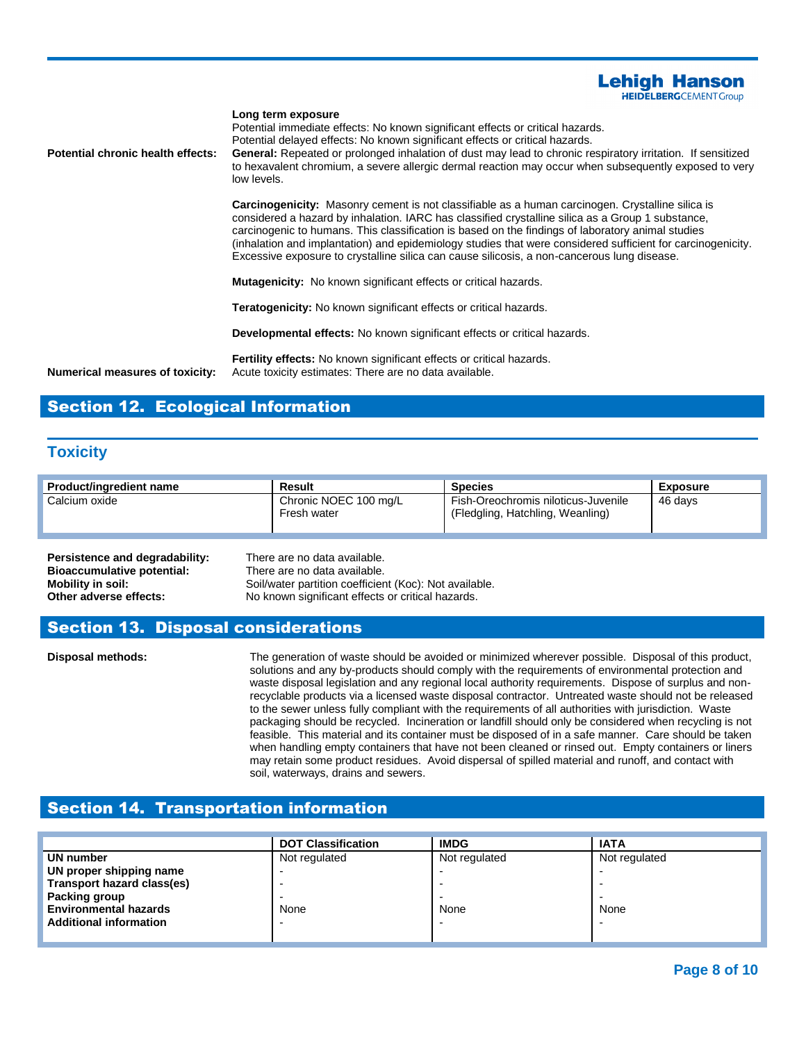

#### **Long term exposure**

Potential immediate effects: No known significant effects or critical hazards. Potential delayed effects: No known significant effects or critical hazards. **Potential chronic health effects: General:** Repeated or prolonged inhalation of dust may lead to chronic respiratory irritation. If sensitized to hexavalent chromium, a severe allergic dermal reaction may occur when subsequently exposed to very low levels.

> **Carcinogenicity:** Masonry cement is not classifiable as a human carcinogen. Crystalline silica is considered a hazard by inhalation. IARC has classified crystalline silica as a Group 1 substance, carcinogenic to humans. This classification is based on the findings of laboratory animal studies (inhalation and implantation) and epidemiology studies that were considered sufficient for carcinogenicity. Excessive exposure to crystalline silica can cause silicosis, a non-cancerous lung disease.

**Mutagenicity:** No known significant effects or critical hazards.

**Teratogenicity:** No known significant effects or critical hazards.

**Developmental effects:** No known significant effects or critical hazards.

**Fertility effects:** No known significant effects or critical hazards. **Numerical measures of toxicity:** Acute toxicity estimates: There are no data available.

## Section 12. Ecological Information

#### **Toxicity**

| Product/ingredient name | Result                               | <b>Species</b>                                                          | Exposure |
|-------------------------|--------------------------------------|-------------------------------------------------------------------------|----------|
| Calcium oxide           | Chronic NOEC 100 mg/L<br>Fresh water | Fish-Oreochromis niloticus-Juvenile<br>(Fledgling, Hatchling, Weanling) | 46 davs  |

| Persistence and degradability: | There are no data available.                           |
|--------------------------------|--------------------------------------------------------|
| Bioaccumulative potential:     | There are no data available.                           |
| Mobility in soil:              | Soil/water partition coefficient (Koc): Not available. |
| Other adverse effects:         | No known significant effects or critical hazards.      |

#### Section 13. Disposal considerations

**Disposal methods:** The generation of waste should be avoided or minimized wherever possible. Disposal of this product, solutions and any by-products should comply with the requirements of environmental protection and waste disposal legislation and any regional local authority requirements. Dispose of surplus and nonrecyclable products via a licensed waste disposal contractor. Untreated waste should not be released to the sewer unless fully compliant with the requirements of all authorities with jurisdiction. Waste packaging should be recycled. Incineration or landfill should only be considered when recycling is not feasible. This material and its container must be disposed of in a safe manner. Care should be taken when handling empty containers that have not been cleaned or rinsed out. Empty containers or liners may retain some product residues. Avoid dispersal of spilled material and runoff, and contact with soil, waterways, drains and sewers.

#### Section 14. Transportation information

|                               | <b>DOT Classification</b> | <b>IMDG</b>   | <b>IATA</b>   |
|-------------------------------|---------------------------|---------------|---------------|
| UN number                     | Not regulated             | Not regulated | Not regulated |
| UN proper shipping name       |                           |               |               |
| Transport hazard class(es)    |                           |               |               |
| Packing group                 |                           |               |               |
| <b>Environmental hazards</b>  | None                      | None          | None          |
| <b>Additional information</b> |                           |               |               |
|                               |                           |               |               |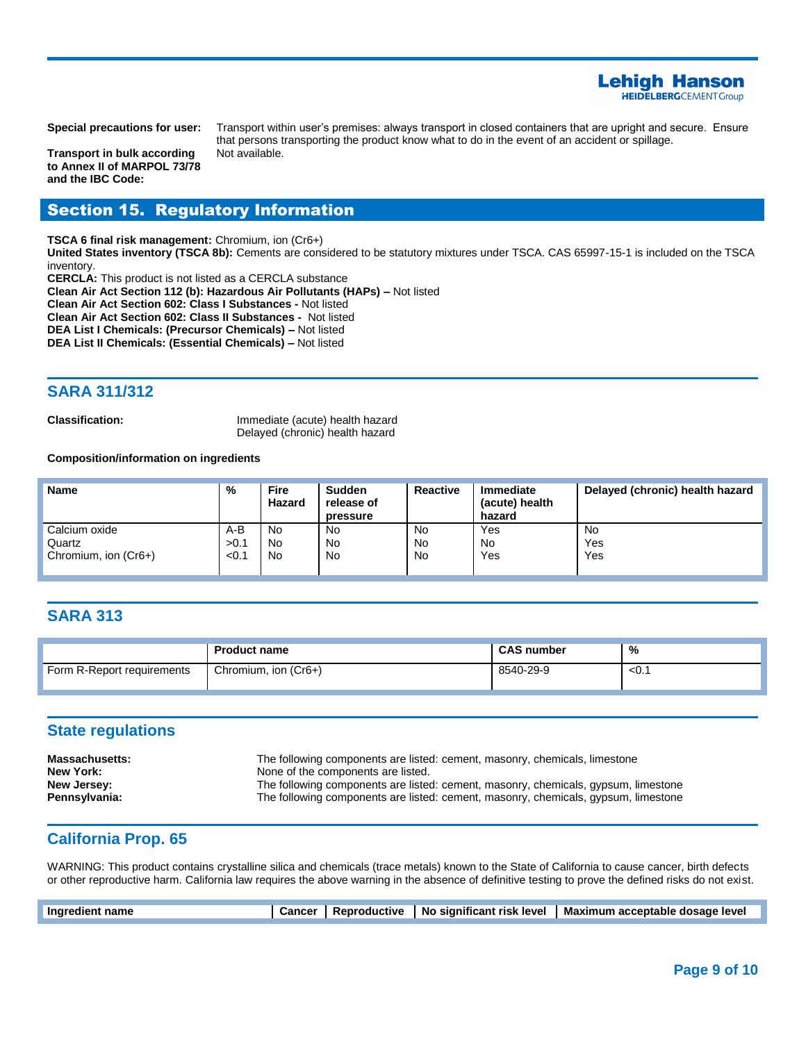

**Transport in bulk according to Annex II of MARPOL 73/78 and the IBC Code:**

**Special precautions for user:** Transport within user's premises: always transport in closed containers that are upright and secure. Ensure that persons transporting the product know what to do in the event of an accident or spillage. Not available.

#### Section 15. Regulatory Information

**TSCA 6 final risk management:** Chromium, ion (Cr6+)

**United States inventory (TSCA 8b):** Cements are considered to be statutory mixtures under TSCA. CAS 65997-15-1 is included on the TSCA inventory.

**CERCLA:** This product is not listed as a CERCLA substance **Clean Air Act Section 112 (b): Hazardous Air Pollutants (HAPs) –** Not listed **Clean Air Act Section 602: Class I Substances -** Not listed **Clean Air Act Section 602: Class II Substances -** Not listed **DEA List I Chemicals: (Precursor Chemicals) –** Not listed **DEA List II Chemicals: (Essential Chemicals) –** Not listed

## **SARA 311/312**

**Classification:** Immediate (acute) health hazard Delayed (chronic) health hazard

#### **Composition/information on ingredients**

| <b>Name</b>          | %     | <b>Fire</b><br>Hazard | Sudden<br>release of<br>pressure | Reactive  | <b>Immediate</b><br>(acute) health<br>hazard | Delayed (chronic) health hazard |
|----------------------|-------|-----------------------|----------------------------------|-----------|----------------------------------------------|---------------------------------|
| Calcium oxide        | $A-B$ | No                    | No                               | No        | Yes                                          | No                              |
| Quartz               | >0.1  | No                    | No                               | No        | No                                           | Yes                             |
| Chromium, ion (Cr6+) | < 0.1 | No                    | No                               | <b>No</b> | Yes                                          | Yes                             |

#### **SARA 313**

|                            | <b>Product name</b>  | <b>CAS number</b> | %     |
|----------------------------|----------------------|-------------------|-------|
| Form R-Report requirements | Chromium, ion (Cr6+) | 8540-29-9         | $0.1$ |

### **State regulations**

| <b>Massachusetts:</b> | The following components are listed: cement, masonry, chemicals, limestone         |
|-----------------------|------------------------------------------------------------------------------------|
| New York:             | None of the components are listed.                                                 |
| New Jersey:           | The following components are listed: cement, masonry, chemicals, gypsum, limestone |
| Pennsylvania:         | The following components are listed: cement, masonry, chemicals, gypsum, limestone |

#### **California Prop. 65**

WARNING: This product contains crystalline silica and chemicals (trace metals) known to the State of California to cause cancer, birth defects or other reproductive harm. California law requires the above warning in the absence of definitive testing to prove the defined risks do not exist.

| Ingredient name | <b>Cancer</b> | Reproductive | No significant risk level | Maximum acceptable dosage level |
|-----------------|---------------|--------------|---------------------------|---------------------------------|
|                 |               |              |                           |                                 |
|                 |               |              |                           |                                 |